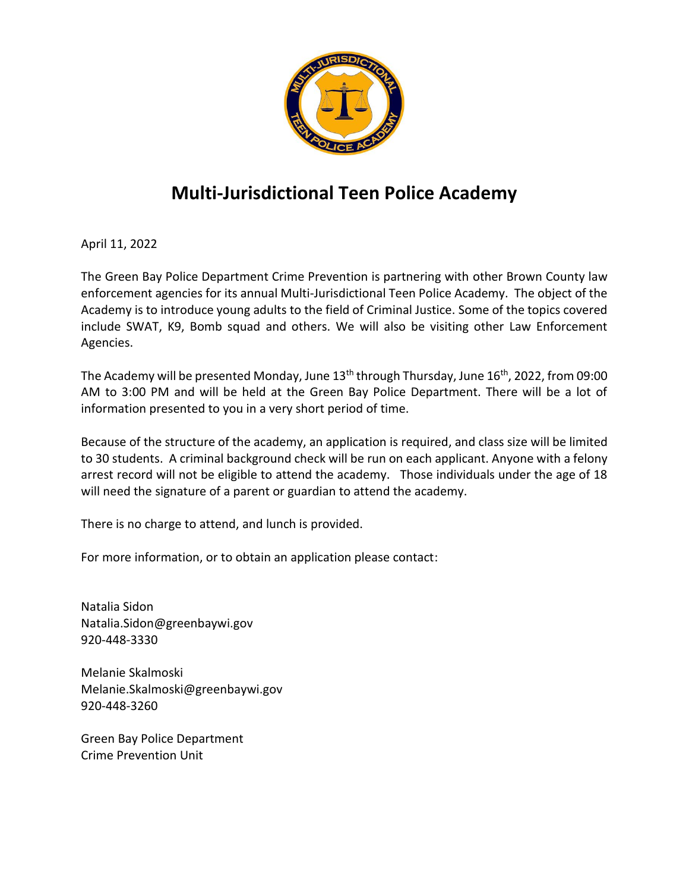

## **Multi-Jurisdictional Teen Police Academy**

April 11, 2022

The Green Bay Police Department Crime Prevention is partnering with other Brown County law enforcement agencies for its annual Multi-Jurisdictional Teen Police Academy. The object of the Academy is to introduce young adults to the field of Criminal Justice. Some of the topics covered include SWAT, K9, Bomb squad and others. We will also be visiting other Law Enforcement Agencies.

The Academy will be presented Monday, June 13<sup>th</sup> through Thursday, June 16<sup>th</sup>, 2022, from 09:00 AM to 3:00 PM and will be held at the Green Bay Police Department. There will be a lot of information presented to you in a very short period of time.

Because of the structure of the academy, an application is required, and class size will be limited to 30 students. A criminal background check will be run on each applicant. Anyone with a felony arrest record will not be eligible to attend the academy. Those individuals under the age of 18 will need the signature of a parent or guardian to attend the academy.

There is no charge to attend, and lunch is provided.

For more information, or to obtain an application please contact:

Natalia Sidon Natalia.Sidon@greenbaywi.gov 920-448-3330

Melanie Skalmoski [Melanie.Skalmoski@greenbaywi.gov](mailto:Melanie.Skalmoski@greenbaywi.gov) 920-448-3260

Green Bay Police Department Crime Prevention Unit